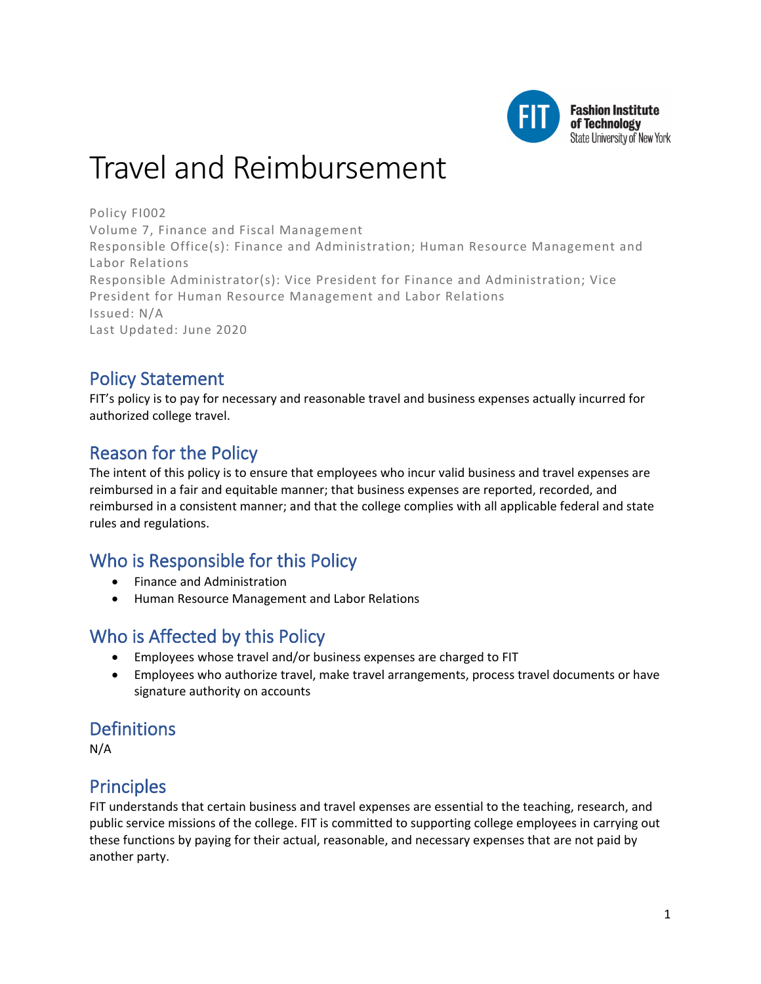

# Travel and Reimbursement

Policy FI002 Volume 7, Finance and Fiscal Management Responsible Office(s): Finance and Administration; Human Resource Management and Labor Relations Responsible Administrator(s): Vice President for Finance and Administration; Vice President for Human Resource Management and Labor Relations Issued: N/A Last Updated: June 2020

# Policy Statement

FIT's policy is to pay for necessary and reasonable travel and business expenses actually incurred for authorized college travel.

# Reason for the Policy

The intent of this policy is to ensure that employees who incur valid business and travel expenses are reimbursed in a fair and equitable manner; that business expenses are reported, recorded, and reimbursed in a consistent manner; and that the college complies with all applicable federal and state rules and regulations.

# Who is Responsible for this Policy

- Finance and Administration
- Human Resource Management and Labor Relations

# Who is Affected by this Policy

- Employees whose travel and/or business expenses are charged to FIT
- Employees who authorize travel, make travel arrangements, process travel documents or have signature authority on accounts

# **Definitions**

N/A

# **Principles**

FIT understands that certain business and travel expenses are essential to the teaching, research, and public service missions of the college. FIT is committed to supporting college employees in carrying out these functions by paying for their actual, reasonable, and necessary expenses that are not paid by another party.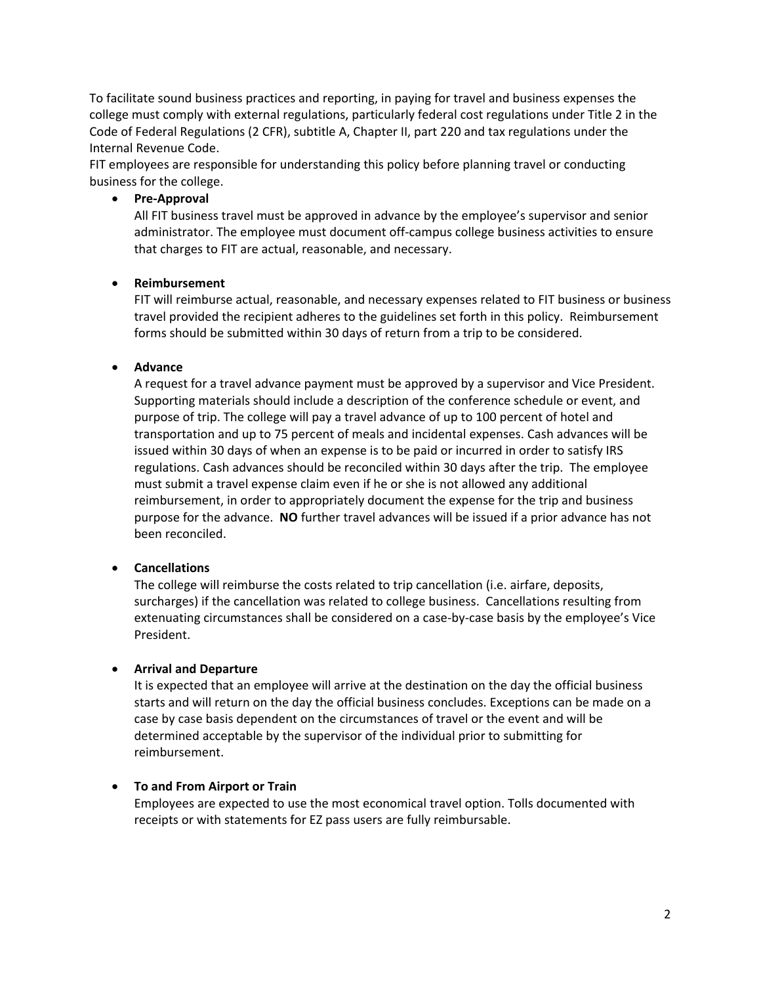To facilitate sound business practices and reporting, in paying for travel and business expenses the college must comply with external regulations, particularly federal cost regulations under Title 2 in the Code of Federal Regulations (2 CFR), subtitle A, Chapter II, part 220 and tax regulations under the Internal Revenue Code.

FIT employees are responsible for understanding this policy before planning travel or conducting business for the college.

### • **Pre-Approval**

All FIT business travel must be approved in advance by the employee's supervisor and senior administrator. The employee must document off-campus college business activities to ensure that charges to FIT are actual, reasonable, and necessary.

# • **Reimbursement**

FIT will reimburse actual, reasonable, and necessary expenses related to FIT business or business travel provided the recipient adheres to the guidelines set forth in this policy. Reimbursement forms should be submitted within 30 days of return from a trip to be considered.

# • **Advance**

A request for a travel advance payment must be approved by a supervisor and Vice President. Supporting materials should include a description of the conference schedule or event, and purpose of trip. The college will pay a travel advance of up to 100 percent of hotel and transportation and up to 75 percent of meals and incidental expenses. Cash advances will be issued within 30 days of when an expense is to be paid or incurred in order to satisfy IRS regulations. Cash advances should be reconciled within 30 days after the trip. The employee must submit a travel expense claim even if he or she is not allowed any additional reimbursement, in order to appropriately document the expense for the trip and business purpose for the advance. **NO** further travel advances will be issued if a prior advance has not been reconciled.

# • **Cancellations**

The college will reimburse the costs related to trip cancellation (i.e. airfare, deposits, surcharges) if the cancellation was related to college business. Cancellations resulting from extenuating circumstances shall be considered on a case-by-case basis by the employee's Vice President.

### • **Arrival and Departure**

It is expected that an employee will arrive at the destination on the day the official business starts and will return on the day the official business concludes. Exceptions can be made on a case by case basis dependent on the circumstances of travel or the event and will be determined acceptable by the supervisor of the individual prior to submitting for reimbursement.

### • **To and From Airport or Train**

Employees are expected to use the most economical travel option. Tolls documented with receipts or with statements for EZ pass users are fully reimbursable.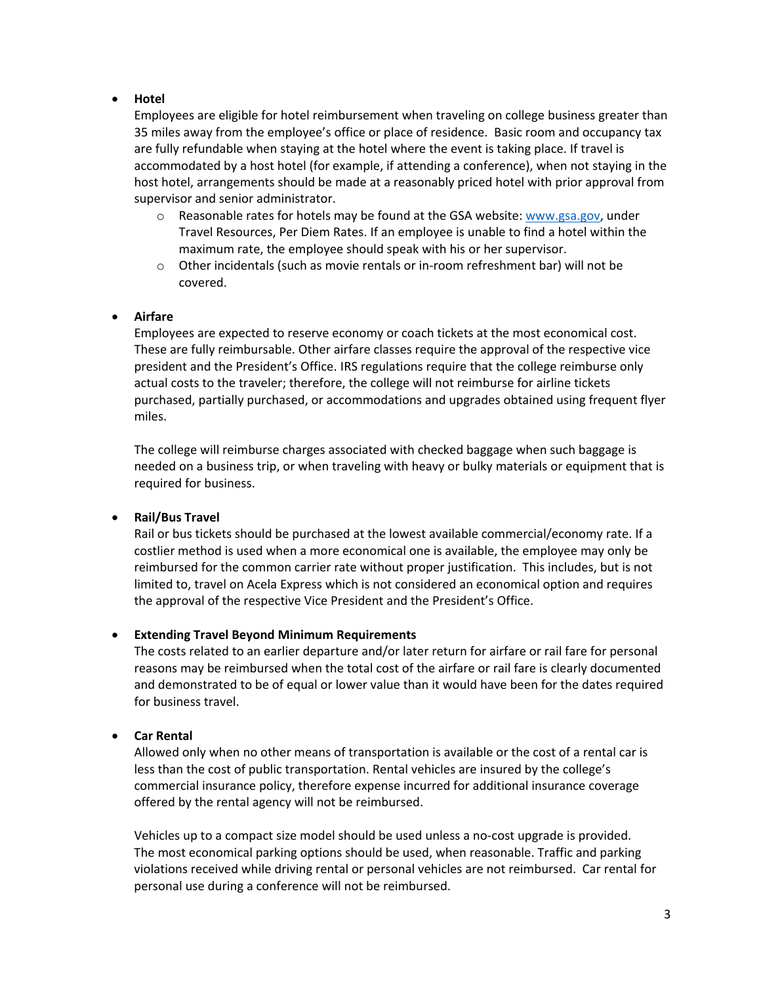### • **Hotel**

Employees are eligible for hotel reimbursement when traveling on college business greater than 35 miles away from the employee's office or place of residence. Basic room and occupancy tax are fully refundable when staying at the hotel where the event is taking place. If travel is accommodated by a host hotel (for example, if attending a conference), when not staying in the host hotel, arrangements should be made at a reasonably priced hotel with prior approval from supervisor and senior administrator.

- $\circ$  Reasonable rates for hotels may be found at the GSA website: www.gsa.gov, under Travel Resources, Per Diem Rates. If an employee is unable to find a hotel within the maximum rate, the employee should speak with his or her supervisor.
- $\circ$  Other incidentals (such as movie rentals or in-room refreshment bar) will not be covered.

### • **Airfare**

Employees are expected to reserve economy or coach tickets at the most economical cost. These are fully reimbursable. Other airfare classes require the approval of the respective vice president and the President's Office. IRS regulations require that the college reimburse only actual costs to the traveler; therefore, the college will not reimburse for airline tickets purchased, partially purchased, or accommodations and upgrades obtained using frequent flyer miles.

The college will reimburse charges associated with checked baggage when such baggage is needed on a business trip, or when traveling with heavy or bulky materials or equipment that is required for business.

#### • **Rail/Bus Travel**

Rail or bus tickets should be purchased at the lowest available commercial/economy rate. If a costlier method is used when a more economical one is available, the employee may only be reimbursed for the common carrier rate without proper justification. This includes, but is not limited to, travel on Acela Express which is not considered an economical option and requires the approval of the respective Vice President and the President's Office.

### • **Extending Travel Beyond Minimum Requirements**

The costs related to an earlier departure and/or later return for airfare or rail fare for personal reasons may be reimbursed when the total cost of the airfare or rail fare is clearly documented and demonstrated to be of equal or lower value than it would have been for the dates required for business travel.

### • **Car Rental**

Allowed only when no other means of transportation is available or the cost of a rental car is less than the cost of public transportation. Rental vehicles are insured by the college's commercial insurance policy, therefore expense incurred for additional insurance coverage offered by the rental agency will not be reimbursed.

Vehicles up to a compact size model should be used unless a no-cost upgrade is provided. The most economical parking options should be used, when reasonable. Traffic and parking violations received while driving rental or personal vehicles are not reimbursed. Car rental for personal use during a conference will not be reimbursed.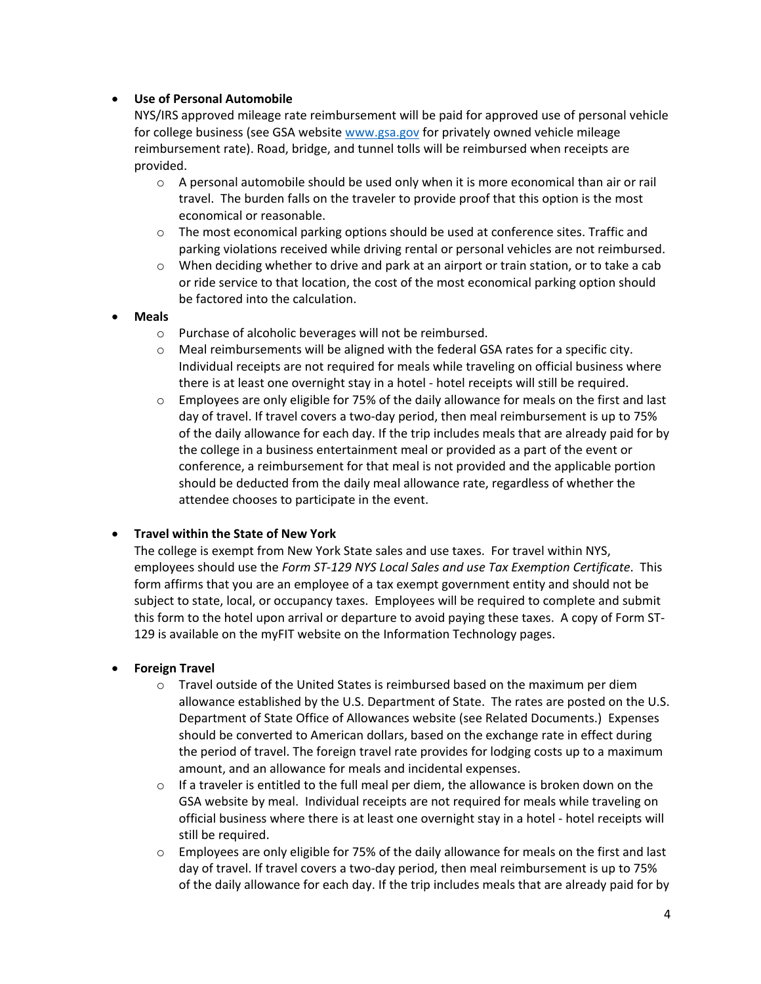### • **Use of Personal Automobile**

NYS/IRS approved mileage rate reimbursement will be paid for approved use of personal vehicle for college business (see GSA website www.gsa.gov for privately owned vehicle mileage reimbursement rate). Road, bridge, and tunnel tolls will be reimbursed when receipts are provided.

- $\circ$  A personal automobile should be used only when it is more economical than air or rail travel. The burden falls on the traveler to provide proof that this option is the most economical or reasonable.
- $\circ$  The most economical parking options should be used at conference sites. Traffic and parking violations received while driving rental or personal vehicles are not reimbursed.
- o When deciding whether to drive and park at an airport or train station, or to take a cab or ride service to that location, the cost of the most economical parking option should be factored into the calculation.

#### • **Meals**

- o Purchase of alcoholic beverages will not be reimbursed.
- $\circ$  Meal reimbursements will be aligned with the federal GSA rates for a specific city. Individual receipts are not required for meals while traveling on official business where there is at least one overnight stay in a hotel - hotel receipts will still be required.
- $\circ$  Employees are only eligible for 75% of the daily allowance for meals on the first and last day of travel. If travel covers a two-day period, then meal reimbursement is up to 75% of the daily allowance for each day. If the trip includes meals that are already paid for by the college in a business entertainment meal or provided as a part of the event or conference, a reimbursement for that meal is not provided and the applicable portion should be deducted from the daily meal allowance rate, regardless of whether the attendee chooses to participate in the event.

#### • **Travel within the State of New York**

The college is exempt from New York State sales and use taxes. For travel within NYS, employees should use the *Form ST-129 NYS Local Sales and use Tax Exemption Certificate*. This form affirms that you are an employee of a tax exempt government entity and should not be subject to state, local, or occupancy taxes. Employees will be required to complete and submit this form to the hotel upon arrival or departure to avoid paying these taxes. A copy of Form ST-129 is available on the myFIT website on the Information Technology pages.

#### • **Foreign Travel**

- $\circ$  Travel outside of the United States is reimbursed based on the maximum per diem allowance established by the U.S. Department of State. The rates are posted on the U.S. Department of State Office of Allowances website (see Related Documents.) Expenses should be converted to American dollars, based on the exchange rate in effect during the period of travel. The foreign travel rate provides for lodging costs up to a maximum amount, and an allowance for meals and incidental expenses.
- $\circ$  If a traveler is entitled to the full meal per diem, the allowance is broken down on the GSA website by meal. Individual receipts are not required for meals while traveling on official business where there is at least one overnight stay in a hotel - hotel receipts will still be required.
- $\circ$  Employees are only eligible for 75% of the daily allowance for meals on the first and last day of travel. If travel covers a two-day period, then meal reimbursement is up to 75% of the daily allowance for each day. If the trip includes meals that are already paid for by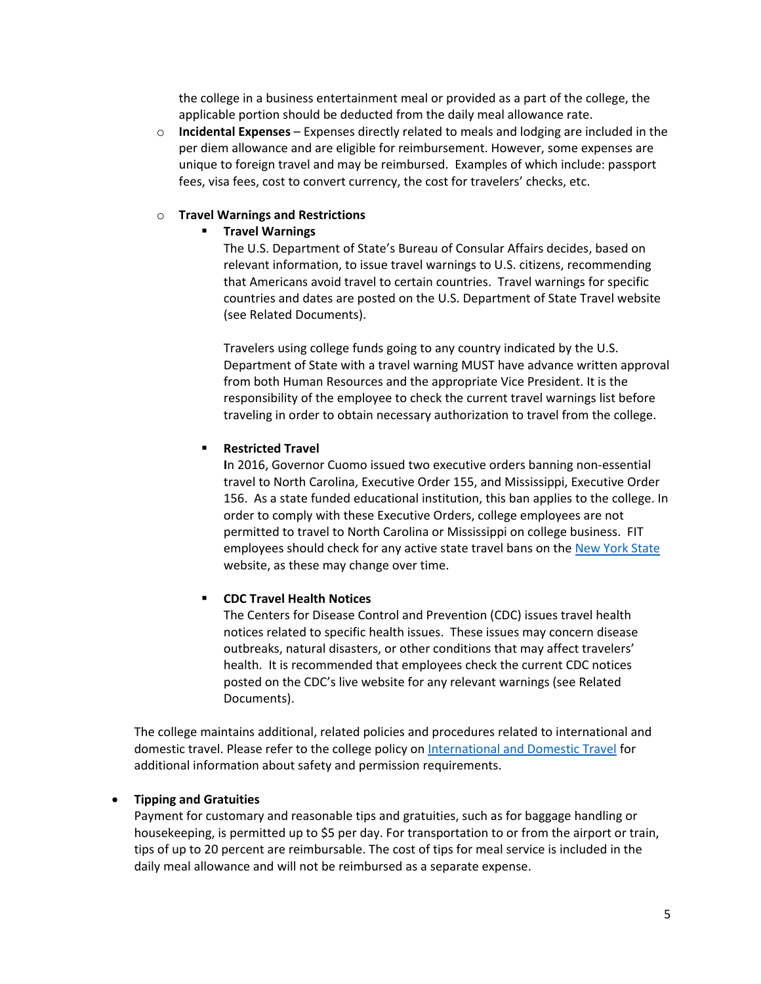the college in a business entertainment meal or provided as a part of the college, the applicable portion should be deducted from the daily meal allowance rate.

o **Incidental Expenses** – Expenses directly related to meals and lodging are included in the per diem allowance and are eligible for reimbursement. However, some expenses are unique to foreign travel and may be reimbursed. Examples of which include: passport fees, visa fees, cost to convert currency, the cost for travelers' checks, etc.

#### o **Travel Warnings and Restrictions**

#### **F** Travel Warnings

The U.S. Department of State's Bureau of Consular Affairs decides, based on relevant information, to issue travel warnings to U.S. citizens, recommending that Americans avoid travel to certain countries. Travel warnings for specific countries and dates are posted on the U.S. Department of State Travel website (see Related Documents).

Travelers using college funds going to any country indicated by the U.S. Department of State with a travel warning MUST have advance written approval from both Human Resources and the appropriate Vice President. It is the responsibility of the employee to check the current travel warnings list before traveling in order to obtain necessary authorization to travel from the college.

#### **Restricted Travel**

**I**n 2016, Governor Cuomo issued two executive orders banning non-essential travel to North Carolina, Executive Order 155, and Mississippi, Executive Order 156. As a state funded educational institution, this ban applies to the college. In order to comply with these Executive Orders, college employees are not permitted to travel to North Carolina or Mississippi on college business. FIT employees should check for any active state travel bans on the [New York State](https://www.ny.gov/) website, as these may change over time.

#### **CDC Travel Health Notices**

The Centers for Disease Control and Prevention (CDC) issues travel health notices related to specific health issues. These issues may concern disease outbreaks, natural disasters, or other conditions that may affect travelers' health. It is recommended that employees check the current CDC notices posted on the CDC's live website for any relevant warnings (see Related Documents).

The college maintains additional, related policies and procedures related to international and domestic travel. Please refer to the college policy on [International and Domestic Travel](https://www.fitnyc.edu/about/policies/safety-security/international-and-domestic-travel.php) for additional information about safety and permission requirements.

#### • **Tipping and Gratuities**

Payment for customary and reasonable tips and gratuities, such as for baggage handling or housekeeping, is permitted up to \$5 per day. For transportation to or from the airport or train, tips of up to 20 percent are reimbursable. The cost of tips for meal service is included in the daily meal allowance and will not be reimbursed as a separate expense.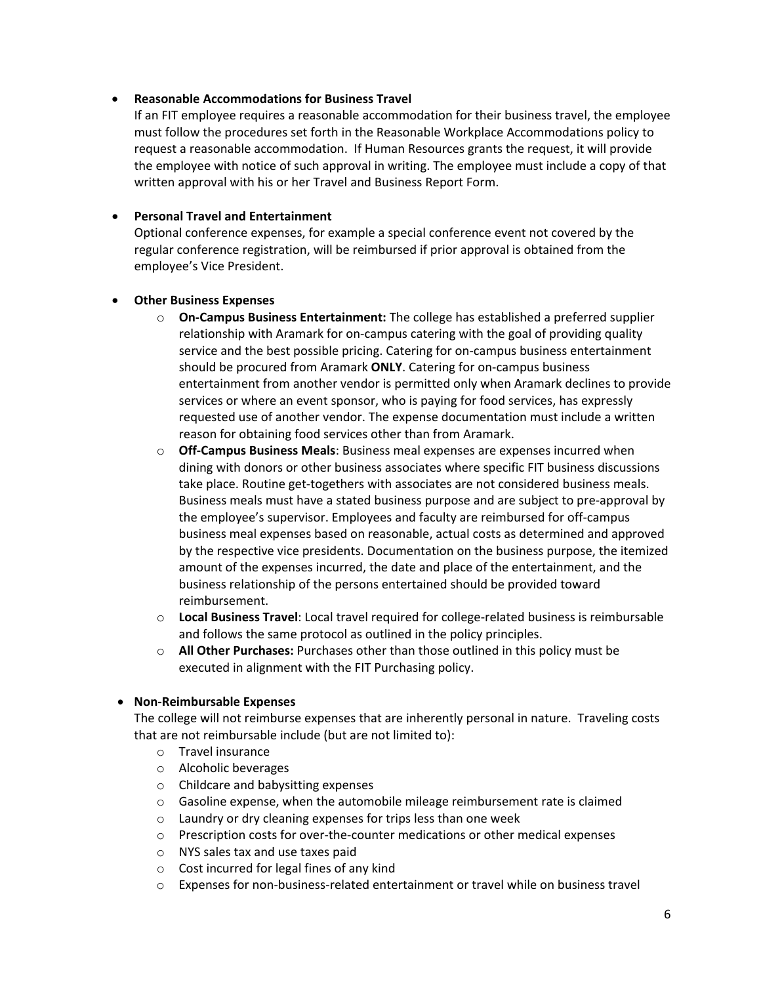#### • **Reasonable Accommodations for Business Travel**

If an FIT employee requires a reasonable accommodation for their business travel, the employee must follow the procedures set forth in the Reasonable Workplace Accommodations policy to request a reasonable accommodation. If Human Resources grants the request, it will provide the employee with notice of such approval in writing. The employee must include a copy of that written approval with his or her Travel and Business Report Form.

#### • **Personal Travel and Entertainment**

Optional conference expenses, for example a special conference event not covered by the regular conference registration, will be reimbursed if prior approval is obtained from the employee's Vice President.

#### • **Other Business Expenses**

- o **On-Campus Business Entertainment:** The college has established a preferred supplier relationship with Aramark for on-campus catering with the goal of providing quality service and the best possible pricing. Catering for on-campus business entertainment should be procured from Aramark **ONLY**. Catering for on-campus business entertainment from another vendor is permitted only when Aramark declines to provide services or where an event sponsor, who is paying for food services, has expressly requested use of another vendor. The expense documentation must include a written reason for obtaining food services other than from Aramark.
- o **Off-Campus Business Meals**: Business meal expenses are expenses incurred when dining with donors or other business associates where specific FIT business discussions take place. Routine get-togethers with associates are not considered business meals. Business meals must have a stated business purpose and are subject to pre-approval by the employee's supervisor. Employees and faculty are reimbursed for off-campus business meal expenses based on reasonable, actual costs as determined and approved by the respective vice presidents. Documentation on the business purpose, the itemized amount of the expenses incurred, the date and place of the entertainment, and the business relationship of the persons entertained should be provided toward reimbursement.
- o **Local Business Travel**: Local travel required for college-related business is reimbursable and follows the same protocol as outlined in the policy principles.
- o **All Other Purchases:** Purchases other than those outlined in this policy must be executed in alignment with the FIT Purchasing policy.

#### • **Non-Reimbursable Expenses**

The college will not reimburse expenses that are inherently personal in nature. Traveling costs that are not reimbursable include (but are not limited to):

- o Travel insurance
- o Alcoholic beverages
- o Childcare and babysitting expenses
- $\circ$  Gasoline expense, when the automobile mileage reimbursement rate is claimed
- o Laundry or dry cleaning expenses for trips less than one week
- o Prescription costs for over-the-counter medications or other medical expenses
- o NYS sales tax and use taxes paid
- o Cost incurred for legal fines of any kind
- o Expenses for non-business-related entertainment or travel while on business travel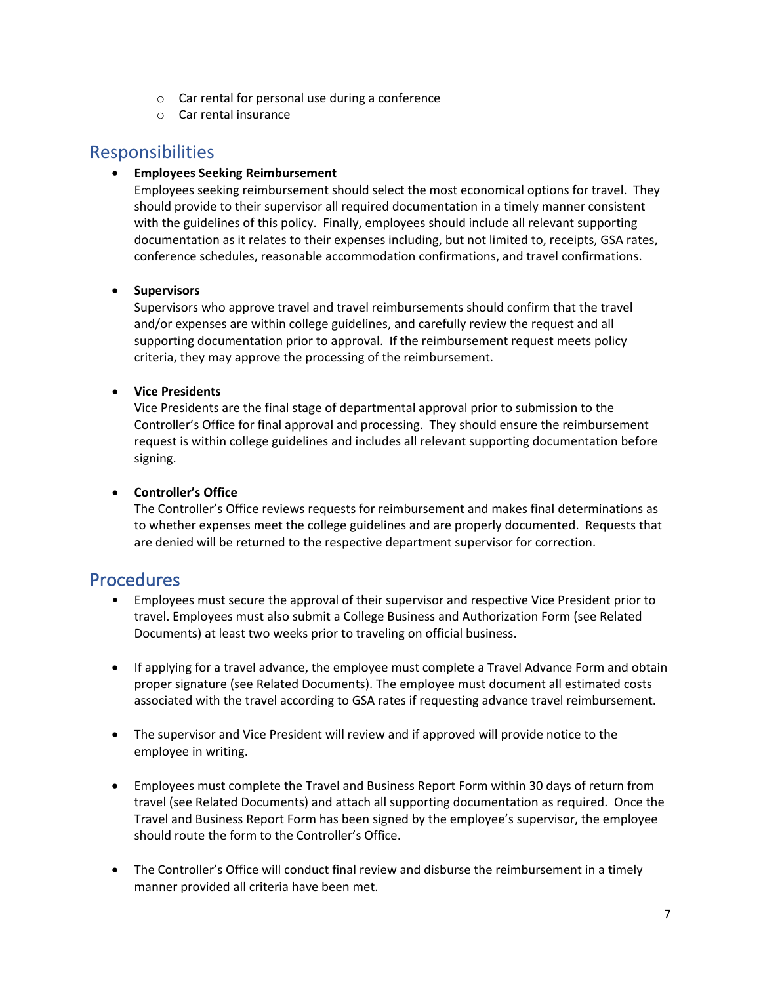- o Car rental for personal use during a conference
- o Car rental insurance

# Responsibilities

### • **Employees Seeking Reimbursement**

Employees seeking reimbursement should select the most economical options for travel. They should provide to their supervisor all required documentation in a timely manner consistent with the guidelines of this policy. Finally, employees should include all relevant supporting documentation as it relates to their expenses including, but not limited to, receipts, GSA rates, conference schedules, reasonable accommodation confirmations, and travel confirmations.

### • **Supervisors**

Supervisors who approve travel and travel reimbursements should confirm that the travel and/or expenses are within college guidelines, and carefully review the request and all supporting documentation prior to approval. If the reimbursement request meets policy criteria, they may approve the processing of the reimbursement.

### • **Vice Presidents**

Vice Presidents are the final stage of departmental approval prior to submission to the Controller's Office for final approval and processing. They should ensure the reimbursement request is within college guidelines and includes all relevant supporting documentation before signing.

### • **Controller's Office**

The Controller's Office reviews requests for reimbursement and makes final determinations as to whether expenses meet the college guidelines and are properly documented. Requests that are denied will be returned to the respective department supervisor for correction.

# Procedures

- Employees must secure the approval of their supervisor and respective Vice President prior to travel. Employees must also submit a College Business and Authorization Form (see Related Documents) at least two weeks prior to traveling on official business.
- If applying for a travel advance, the employee must complete a Travel Advance Form and obtain proper signature (see Related Documents). The employee must document all estimated costs associated with the travel according to GSA rates if requesting advance travel reimbursement.
- The supervisor and Vice President will review and if approved will provide notice to the employee in writing.
- Employees must complete the Travel and Business Report Form within 30 days of return from travel (see Related Documents) and attach all supporting documentation as required. Once the Travel and Business Report Form has been signed by the employee's supervisor, the employee should route the form to the Controller's Office.
- The Controller's Office will conduct final review and disburse the reimbursement in a timely manner provided all criteria have been met.